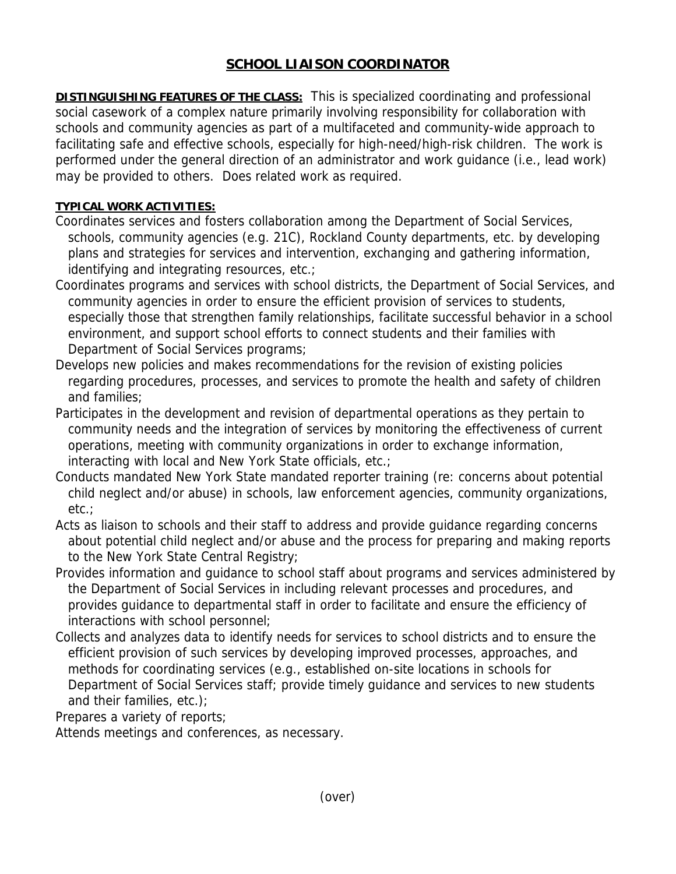## **SCHOOL LIAISON COORDINATOR**

**DISTINGUISHING FEATURES OF THE CLASS:** This is specialized coordinating and professional social casework of a complex nature primarily involving responsibility for collaboration with schools and community agencies as part of a multifaceted and community-wide approach to facilitating safe and effective schools, especially for high-need/high-risk children. The work is performed under the general direction of an administrator and work guidance (i.e., lead work) may be provided to others. Does related work as required.

## **TYPICAL WORK ACTIVITIES:**

- Coordinates services and fosters collaboration among the Department of Social Services, schools, community agencies (e.g. 21C), Rockland County departments, etc. by developing plans and strategies for services and intervention, exchanging and gathering information, identifying and integrating resources, etc.;
- Coordinates programs and services with school districts, the Department of Social Services, and community agencies in order to ensure the efficient provision of services to students, especially those that strengthen family relationships, facilitate successful behavior in a school environment, and support school efforts to connect students and their families with Department of Social Services programs;
- Develops new policies and makes recommendations for the revision of existing policies regarding procedures, processes, and services to promote the health and safety of children and families;
- Participates in the development and revision of departmental operations as they pertain to community needs and the integration of services by monitoring the effectiveness of current operations, meeting with community organizations in order to exchange information, interacting with local and New York State officials, etc.;
- Conducts mandated New York State mandated reporter training (re: concerns about potential child neglect and/or abuse) in schools, law enforcement agencies, community organizations, etc.;
- Acts as liaison to schools and their staff to address and provide guidance regarding concerns about potential child neglect and/or abuse and the process for preparing and making reports to the New York State Central Registry;
- Provides information and guidance to school staff about programs and services administered by the Department of Social Services in including relevant processes and procedures, and provides guidance to departmental staff in order to facilitate and ensure the efficiency of interactions with school personnel;
- Collects and analyzes data to identify needs for services to school districts and to ensure the efficient provision of such services by developing improved processes, approaches, and methods for coordinating services (e.g., established on-site locations in schools for Department of Social Services staff; provide timely guidance and services to new students and their families, etc.);

Prepares a variety of reports;

Attends meetings and conferences, as necessary.